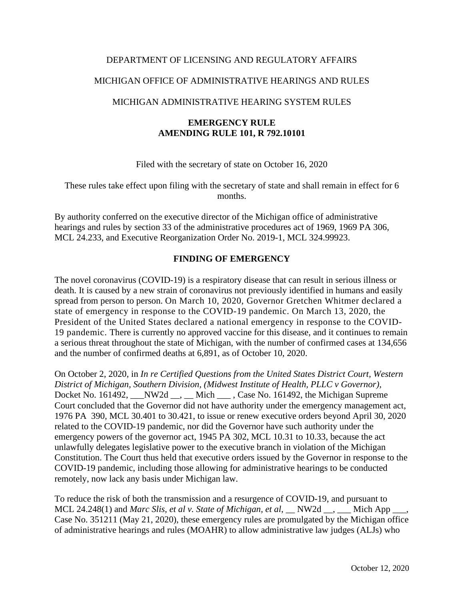### DEPARTMENT OF LICENSING AND REGULATORY AFFAIRS

## MICHIGAN OFFICE OF ADMINISTRATIVE HEARINGS AND RULES

## MICHIGAN ADMINISTRATIVE HEARING SYSTEM RULES

## **EMERGENCY RULE AMENDING RULE 101, R 792.10101**

Filed with the secretary of state on October 16, 2020

These rules take effect upon filing with the secretary of state and shall remain in effect for 6 months.

By authority conferred on the executive director of the Michigan office of administrative hearings and rules by section 33 of the administrative procedures act of 1969, 1969 PA 306, MCL 24.233, and Executive Reorganization Order No. 2019-1, MCL 324.99923.

## **FINDING OF EMERGENCY**

The novel coronavirus (COVID-19) is a respiratory disease that can result in serious illness or death. It is caused by a new strain of coronavirus not previously identified in humans and easily spread from person to person. On March 10, 2020, Governor Gretchen Whitmer declared a state of emergency in response to the COVID-19 pandemic. On March 13, 2020, the President of the United States declared a national emergency in response to the COVID-19 pandemic. There is currently no approved vaccine for this disease, and it continues to remain a serious threat throughout the state of Michigan, with the number of confirmed cases at 134,656 and the number of confirmed deaths at 6,891, as of October 10, 2020.

On October 2, 2020, in *In re Certified Questions from the United States District Court, Western District of Michigan, Southern Division, (Midwest Institute of Health, PLLC v Governor),* Docket No. 161492, \_\_\_NW2d \_\_, \_\_ Mich \_\_\_ , Case No. 161492, the Michigan Supreme Court concluded that the Governor did not have authority under the emergency management act, 1976 PA 390, MCL 30.401 to 30.421, to issue or renew executive orders beyond April 30, 2020 related to the COVID-19 pandemic, nor did the Governor have such authority under the emergency powers of the governor act, 1945 PA 302, MCL 10.31 to 10.33, because the act unlawfully delegates legislative power to the executive branch in violation of the Michigan Constitution. The Court thus held that executive orders issued by the Governor in response to the COVID-19 pandemic, including those allowing for administrative hearings to be conducted remotely, now lack any basis under Michigan law.

To reduce the risk of both the transmission and a resurgence of COVID-19, and pursuant to MCL 24.248(1) and *Marc Slis, et al v. State of Michigan, et al,* \_\_ NW2d \_\_, \_\_\_ Mich App \_ Case No. 351211 (May 21, 2020), these emergency rules are promulgated by the Michigan office of administrative hearings and rules (MOAHR) to allow administrative law judges (ALJs) who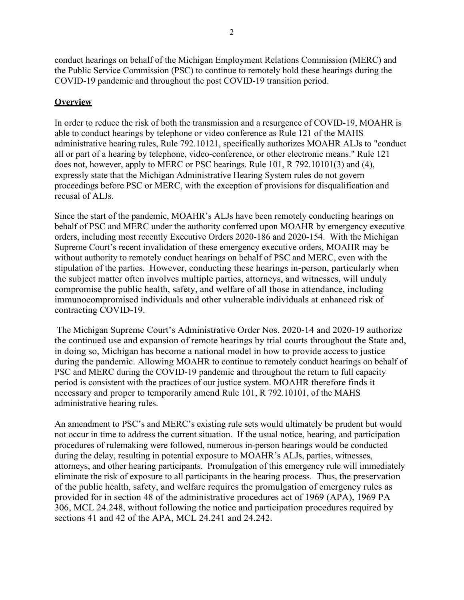conduct hearings on behalf of the Michigan Employment Relations Commission (MERC) and the Public Service Commission (PSC) to continue to remotely hold these hearings during the COVID-19 pandemic and throughout the post COVID-19 transition period.

## **Overview**

In order to reduce the risk of both the transmission and a resurgence of COVID-19, MOAHR is able to conduct hearings by telephone or video conference as Rule 121 of the MAHS administrative hearing rules, Rule 792.10121, specifically authorizes MOAHR ALJs to "conduct all or part of a hearing by telephone, video-conference, or other electronic means." Rule 121 does not, however, apply to MERC or PSC hearings. Rule 101, R 792.10101(3) and (4), expressly state that the Michigan Administrative Hearing System rules do not govern proceedings before PSC or MERC, with the exception of provisions for disqualification and recusal of ALJs.

Since the start of the pandemic, MOAHR's ALJs have been remotely conducting hearings on behalf of PSC and MERC under the authority conferred upon MOAHR by emergency executive orders, including most recently Executive Orders 2020-186 and 2020-154. With the Michigan Supreme Court's recent invalidation of these emergency executive orders, MOAHR may be without authority to remotely conduct hearings on behalf of PSC and MERC, even with the stipulation of the parties. However, conducting these hearings in-person, particularly when the subject matter often involves multiple parties, attorneys, and witnesses, will unduly compromise the public health, safety, and welfare of all those in attendance, including immunocompromised individuals and other vulnerable individuals at enhanced risk of contracting COVID-19.

The Michigan Supreme Court's Administrative Order Nos. 2020-14 and 2020-19 authorize the continued use and expansion of remote hearings by trial courts throughout the State and, in doing so, Michigan has become a national model in how to provide access to justice during the pandemic. Allowing MOAHR to continue to remotely conduct hearings on behalf of PSC and MERC during the COVID-19 pandemic and throughout the return to full capacity period is consistent with the practices of our justice system. MOAHR therefore finds it necessary and proper to temporarily amend Rule 101, R 792.10101, of the MAHS administrative hearing rules.

An amendment to PSC's and MERC's existing rule sets would ultimately be prudent but would not occur in time to address the current situation. If the usual notice, hearing, and participation procedures of rulemaking were followed, numerous in-person hearings would be conducted during the delay, resulting in potential exposure to MOAHR's ALJs, parties, witnesses, attorneys, and other hearing participants. Promulgation of this emergency rule will immediately eliminate the risk of exposure to all participants in the hearing process. Thus, the preservation of the public health, safety, and welfare requires the promulgation of emergency rules as provided for in section 48 of the administrative procedures act of 1969 (APA), 1969 PA 306, MCL 24.248, without following the notice and participation procedures required by sections 41 and 42 of the APA, MCL 24.241 and 24.242.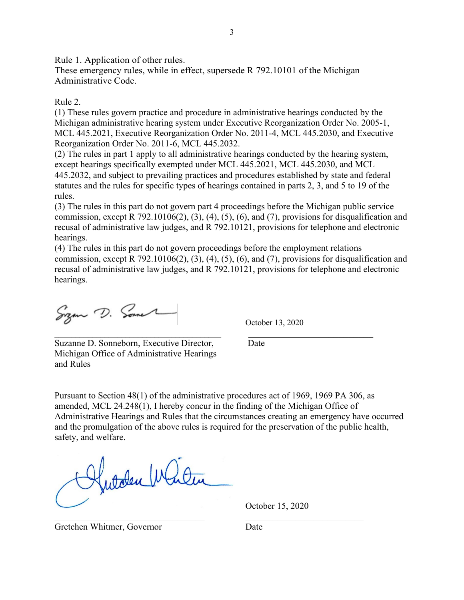Rule 1. Application of other rules.

These emergency rules, while in effect, supersede R 792.10101 of the Michigan Administrative Code.

### Rule 2.

(1) These rules govern practice and procedure in administrative hearings conducted by the Michigan administrative hearing system under Executive Reorganization Order No. 2005-1, MCL 445.2021, Executive Reorganization Order No. 2011-4, MCL 445.2030, and Executive Reorganization Order No. 2011-6, MCL 445.2032.

(2) The rules in part 1 apply to all administrative hearings conducted by the hearing system, except hearings specifically exempted under MCL 445.2021, MCL 445.2030, and MCL 445.2032, and subject to prevailing practices and procedures established by state and federal statutes and the rules for specific types of hearings contained in parts 2, 3, and 5 to 19 of the rules.

(3) The rules in this part do not govern part 4 proceedings before the Michigan public service commission, except R  $792.10106(2)$ ,  $(3)$ ,  $(4)$ ,  $(5)$ ,  $(6)$ , and  $(7)$ , provisions for disqualification and recusal of administrative law judges, and R 792.10121, provisions for telephone and electronic hearings.

(4) The rules in this part do not govern proceedings before the employment relations commission, except R  $792.10106(2)$ ,  $(3)$ ,  $(4)$ ,  $(5)$ ,  $(6)$ , and  $(7)$ , provisions for disqualification and recusal of administrative law judges, and R 792.10121, provisions for telephone and electronic hearings.

 $\overline{\phantom{a}}$  , and the contribution of the contribution of the contribution of the contribution of the contribution of the contribution of the contribution of the contribution of the contribution of the contribution of the

Sign D. Some

October 13, 2020

Suzanne D. Sonneborn, Executive Director, Date Michigan Office of Administrative Hearings and Rules

Pursuant to Section 48(1) of the administrative procedures act of 1969, 1969 PA 306, as amended, MCL 24.248(1), I hereby concur in the finding of the Michigan Office of Administrative Hearings and Rules that the circumstances creating an emergency have occurred and the promulgation of the above rules is required for the preservation of the public health, safety, and welfare.

Hutden Who

October 15, 2020

Gretchen Whitmer, Governor Date

 $\mathcal{L}_\text{G} = \mathcal{L}_\text{G} = \mathcal{L}_\text{G} = \mathcal{L}_\text{G} = \mathcal{L}_\text{G} = \mathcal{L}_\text{G} = \mathcal{L}_\text{G} = \mathcal{L}_\text{G} = \mathcal{L}_\text{G} = \mathcal{L}_\text{G} = \mathcal{L}_\text{G} = \mathcal{L}_\text{G} = \mathcal{L}_\text{G} = \mathcal{L}_\text{G} = \mathcal{L}_\text{G} = \mathcal{L}_\text{G} = \mathcal{L}_\text{G} = \mathcal{L}_\text{G} = \mathcal{$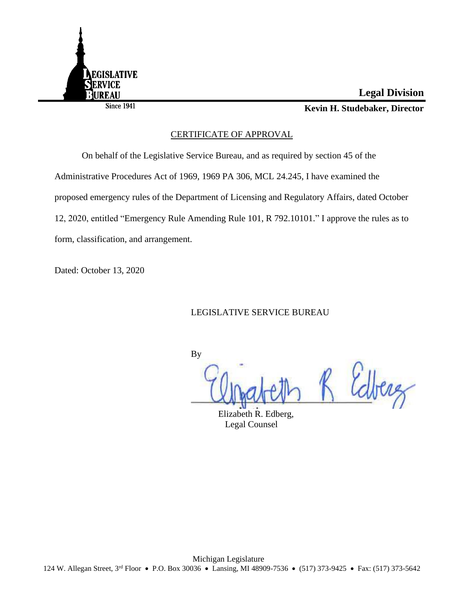

Since **1941** 

## **Legal Division**

**Kevin H. Studebaker, Director**

## CERTIFICATE OF APPROVAL

On behalf of the Legislative Service Bureau, and as required by section 45 of the Administrative Procedures Act of 1969, 1969 PA 306, MCL 24.245, I have examined the proposed emergency rules of the Department of Licensing and Regulatory Affairs, dated October 12, 2020, entitled "Emergency Rule Amending Rule 101, R 792.10101." I approve the rules as to form, classification, and arrangement.

Dated: October 13, 2020

LEGISLATIVE SERVICE BUREAU

By

R Edberg

Elizabeth R. Edberg, Legal Counsel